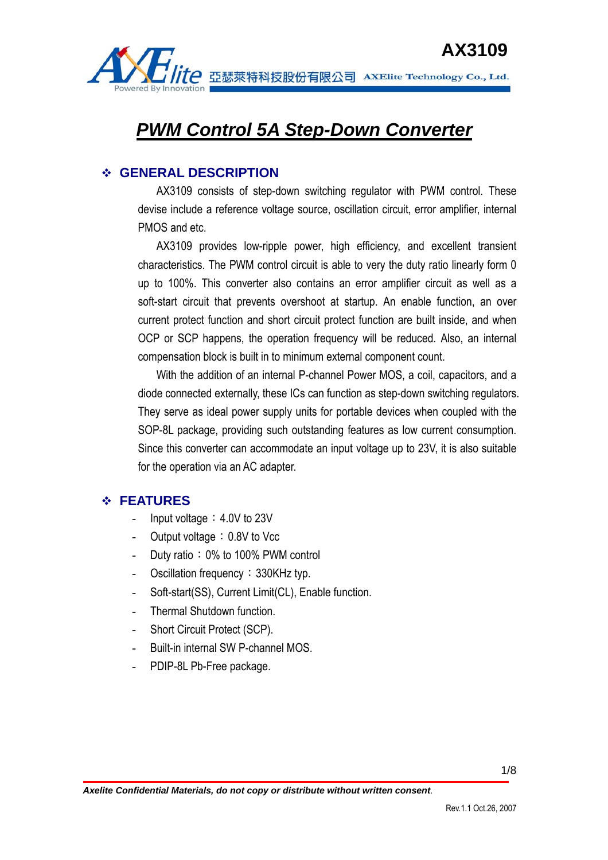

**AX3109**<br>Tite 亞瑟萊特科技股份有限公司 AXElite Technology Co., Ltd.

# *PWM Control 5A Step-Down Converter*

# **GENERAL DESCRIPTION**

AX3109 consists of step-down switching regulator with PWM control. These devise include a reference voltage source, oscillation circuit, error amplifier, internal PMOS and etc.

AX3109 provides low-ripple power, high efficiency, and excellent transient characteristics. The PWM control circuit is able to very the duty ratio linearly form 0 up to 100%. This converter also contains an error amplifier circuit as well as a soft-start circuit that prevents overshoot at startup. An enable function, an over current protect function and short circuit protect function are built inside, and when OCP or SCP happens, the operation frequency will be reduced. Also, an internal compensation block is built in to minimum external component count.

With the addition of an internal P-channel Power MOS, a coil, capacitors, and a diode connected externally, these ICs can function as step-down switching regulators. They serve as ideal power supply units for portable devices when coupled with the SOP-8L package, providing such outstanding features as low current consumption. Since this converter can accommodate an input voltage up to 23V, it is also suitable for the operation via an AC adapter.

# **FEATURES**

- Input voltage:  $4.0V$  to 23V
- Output voltage: 0.8V to Vcc
- Duty ratio: 0% to 100% PWM control
- Oscillation frequency: 330KHz typ.
- Soft-start(SS), Current Limit(CL), Enable function.
- Thermal Shutdown function.
- Short Circuit Protect (SCP).
- Built-in internal SW P-channel MOS.
- PDIP-8L Pb-Free package.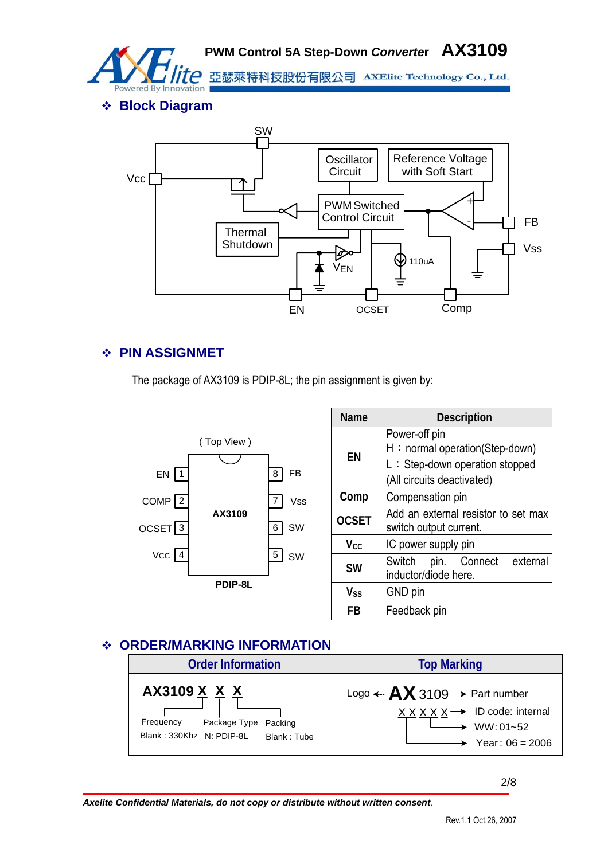

**PWM Control 5A Step-Down** *Converte***r AX3109**

亞瑟萊特科技股份有限公司 AXElite Technology Co., Ltd.

**Block Diagram** 



# **PIN ASSIGNMET**

The package of AX3109 is PDIP-8L; the pin assignment is given by:



| Name                   | <b>Description</b>                                                                                              |  |  |  |
|------------------------|-----------------------------------------------------------------------------------------------------------------|--|--|--|
| ΕN                     | Power-off pin<br>H: normal operation(Step-down)<br>L: Step-down operation stopped<br>(All circuits deactivated) |  |  |  |
| Comp                   | Compensation pin                                                                                                |  |  |  |
| <b>OCSET</b>           | Add an external resistor to set max<br>switch output current.                                                   |  |  |  |
| <b>V</b> <sub>cc</sub> | IC power supply pin                                                                                             |  |  |  |
| <b>SW</b>              | pin. Connect external<br>Switch<br>inductor/diode here.                                                         |  |  |  |
| Vss                    | GND pin                                                                                                         |  |  |  |
| FR                     | Feedback pin                                                                                                    |  |  |  |

# **ORDER/MARKING INFORMATION**



2/8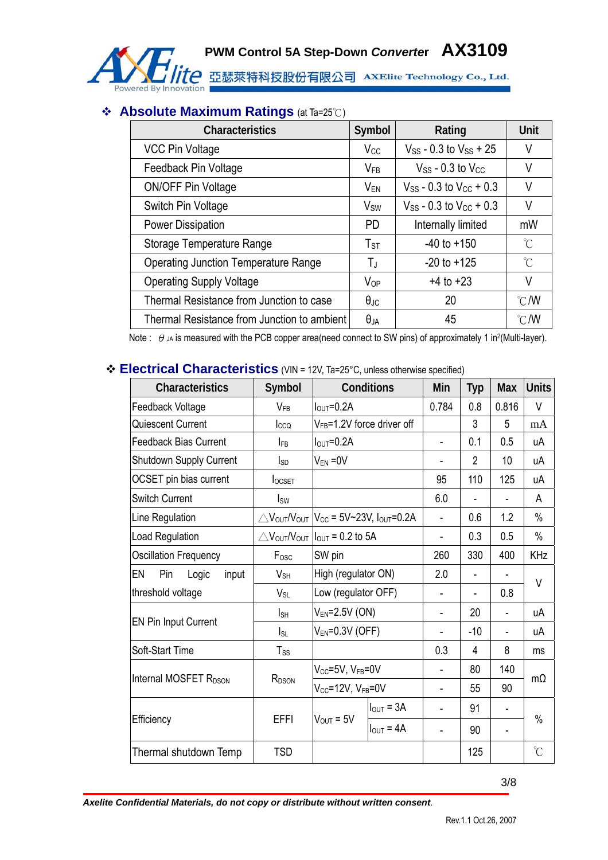

# **Absolute Maximum Ratings** (at Ta=25℃)

| <b>Characteristics</b>                      | Symbol               | Rating                           | <b>Unit</b>         |
|---------------------------------------------|----------------------|----------------------------------|---------------------|
| <b>VCC Pin Voltage</b>                      | $V_{CC}$             | $V_{SS}$ - 0.3 to $V_{SS}$ + 25  | V                   |
| Feedback Pin Voltage                        | $V_{FB}$             | $V_{SS}$ - 0.3 to $V_{CC}$       | V                   |
| <b>ON/OFF Pin Voltage</b>                   | V <sub>EN</sub>      | $V_{SS}$ - 0.3 to $V_{CC}$ + 0.3 | V                   |
| Switch Pin Voltage                          | $V_{SW}$             | $V_{SS}$ - 0.3 to $V_{CC}$ + 0.3 | V                   |
| Power Dissipation                           | <b>PD</b>            | Internally limited               | mW                  |
| Storage Temperature Range                   | $T_{ST}$             | $-40$ to $+150$                  | $\int_{0}^{\infty}$ |
| <b>Operating Junction Temperature Range</b> | ТJ                   | $-20$ to $+125$                  | $\int_{0}^{\infty}$ |
| <b>Operating Supply Voltage</b>             | $V_{OP}$             | $+4$ to $+23$                    | V                   |
| Thermal Resistance from Junction to case    | $\theta_{\text{JC}}$ | 20                               | $\degree$ C/W       |
| Thermal Resistance from Junction to ambient | $\theta_{JA}$        | 45                               | $\degree$ C/W       |

Note :  $\theta$  JA is measured with the PCB copper area(need connect to SW pins) of approximately 1 in<sup>2</sup>(Multi-layer).

# **Electrical Characteristics** (VIN = 12V, Ta=25°C, unless otherwise specified)

| Characteristics                   | Symbol            | Conditions                                                           |                       | Min            | <b>Typ</b>     | <b>Max</b>               | <b>Units</b>         |
|-----------------------------------|-------------------|----------------------------------------------------------------------|-----------------------|----------------|----------------|--------------------------|----------------------|
| Feedback Voltage                  | $V_{FB}$          | $IOUT=0.2A$                                                          |                       | 0.784          | 0.8            | 0.816                    | V                    |
| Quiescent Current                 | Icco              | V <sub>FB</sub> =1.2V force driver off                               |                       |                | 3              | 5                        | mA                   |
| <b>Feedback Bias Current</b>      | I <sub>FB</sub>   | $I_{\text{OUT}} = 0.2A$                                              |                       | ä,             | 0.1            | 0.5                      | uA                   |
| Shutdown Supply Current           | $I_{SD}$          | $V_{EN} = 0V$                                                        |                       | $\blacksquare$ | $\overline{2}$ | 10                       | uA                   |
| OCSET pin bias current            | <b>locset</b>     |                                                                      |                       | 95             | 110            | 125                      | uA                   |
| <b>Switch Current</b>             | $I_{SW}$          |                                                                      |                       | 6.0            |                |                          | A                    |
| Line Regulation                   |                   | $\triangle$ Vout/Vout   Vcc = 5V~23V, Iout=0.2A                      |                       | ÷,             | 0.6            | 1.2                      | $\%$                 |
| Load Regulation                   |                   | $\triangle V_{\text{OUT}}/V_{\text{OUT}} I_{\text{OUT}}$ = 0.2 to 5A |                       |                | 0.3            | 0.5                      | $\%$                 |
| <b>Oscillation Frequency</b>      | F <sub>osc</sub>  | SW pin                                                               |                       | 260            | 330            | 400                      | <b>KHz</b>           |
| EN<br>Pin<br>input<br>Logic       | $V_{SH}$          | High (regulator ON)                                                  |                       | 2.0            | $\blacksquare$ |                          |                      |
| threshold voltage                 | $V_{SL}$          | Low (regulator OFF)                                                  |                       |                |                | 0.8                      | V                    |
|                                   | $I_{SH}$          | $V_{EN} = 2.5V$ (ON)                                                 |                       | ÷,             | 20             |                          | uA                   |
| <b>EN Pin Input Current</b>       | $I_{SL}$          | $V_{EN} = 0.3V$ (OFF)                                                |                       |                | $-10$          | ä,                       | uA                   |
| Soft-Start Time                   | $T_{SS}$          |                                                                      |                       | 0.3            | 4              | 8                        | ms                   |
|                                   | R <sub>DSON</sub> | $V_{CC}$ =5V, $V_{FB}$ =0V                                           |                       |                | 80             | 140                      | $m\Omega$            |
| Internal MOSFET R <sub>DSON</sub> |                   | $V_{CC} = 12V$ , $V_{FB} = 0V$                                       |                       | ÷,             | 55             | 90                       |                      |
|                                   | <b>EFFI</b>       | $V_{\text{OUT}} = 5V$                                                | $I_{\text{OUT}} = 3A$ | $\blacksquare$ | 91             | $\overline{\phantom{a}}$ |                      |
| Efficiency                        |                   |                                                                      | $I_{OUT} = 4A$        | ä,             | 90             | ٠                        | $\%$                 |
| Thermal shutdown Temp             | <b>TSD</b>        |                                                                      |                       |                | 125            |                          | $\mathrm{C}^{\circ}$ |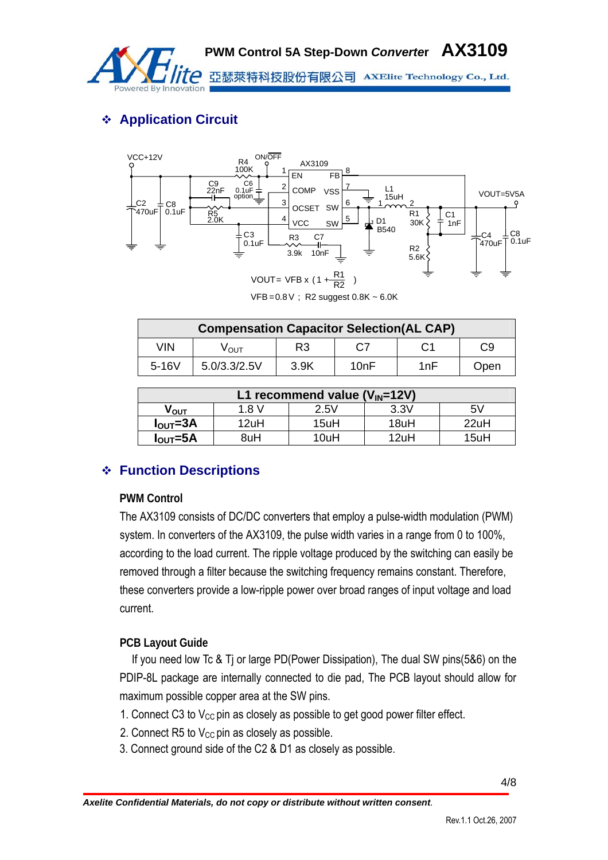

# **Application Circuit**



| <b>Compensation Capacitor Selection(AL CAP)</b> |              |                |      |     |      |  |
|-------------------------------------------------|--------------|----------------|------|-----|------|--|
| VIN                                             | νουτ         | R <sub>3</sub> | C7   |     | C9   |  |
| $5 - 16V$                                       | 5.0/3.3/2.5V | 3.9K           | 10nF | 1nF | Open |  |

| L1 recommend value $(V_{IN}=12V)$               |      |      |      |      |  |  |  |
|-------------------------------------------------|------|------|------|------|--|--|--|
| 3.3V<br>5V<br>2.5V<br>1.8 V<br>V <sub>ουτ</sub> |      |      |      |      |  |  |  |
| $I_{\text{OUT}} = 3A$                           | 12uH | 15uH | 18uH | 22uH |  |  |  |
| $I_{\text{OUT}} = 5A$                           | 8uH  | 10uH | 12uH | 15uH |  |  |  |

# **Function Descriptions**

### **PWM Control**

The AX3109 consists of DC/DC converters that employ a pulse-width modulation (PWM) system. In converters of the AX3109, the pulse width varies in a range from 0 to 100%, according to the load current. The ripple voltage produced by the switching can easily be removed through a filter because the switching frequency remains constant. Therefore, these converters provide a low-ripple power over broad ranges of input voltage and load current.

### **PCB Layout Guide**

If you need low Tc & Tj or large PD(Power Dissipation), The dual SW pins(5&6) on the PDIP-8L package are internally connected to die pad, The PCB layout should allow for maximum possible copper area at the SW pins.

- 1. Connect C3 to  $V_{CC}$  pin as closely as possible to get good power filter effect.
- 2. Connect  $R5$  to  $V_{CC}$  pin as closely as possible.
- 3. Connect ground side of the C2 & D1 as closely as possible.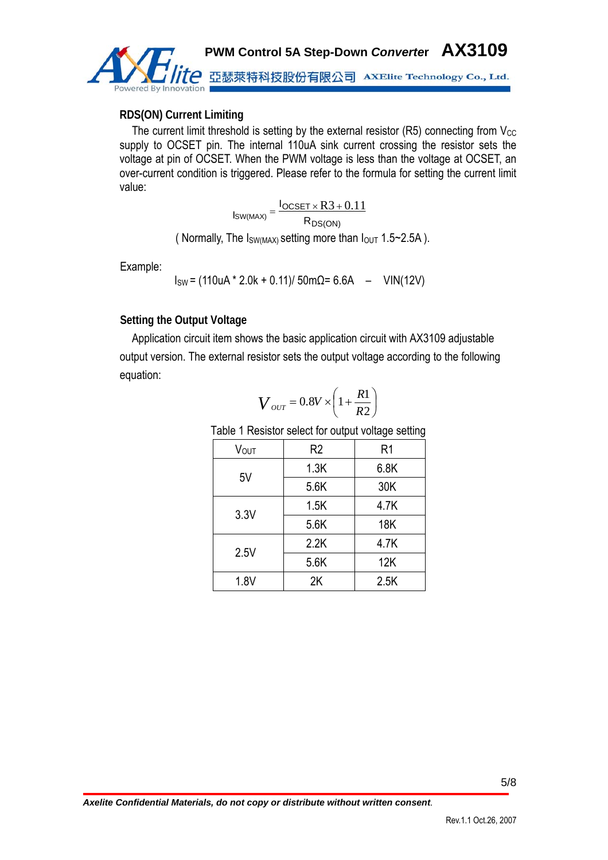

#### **RDS(ON) Current Limiting**

The current limit threshold is setting by the external resistor  $(R5)$  connecting from  $V_{CC}$ supply to OCSET pin. The internal 110uA sink current crossing the resistor sets the voltage at pin of OCSET. When the PWM voltage is less than the voltage at OCSET, an over-current condition is triggered. Please refer to the formula for setting the current limit value:

$$
I_{SW(MAX)} = \frac{I_{OCSET \times R3 + 0.11}}{R_{DS(ON)}}
$$

( Normally, The  $I_{SW(MAX)}$  setting more than  $I_{OUT}$  1.5~2.5A).

Example:

$$
I_{SW} = (110uA * 2.0k + 0.11)/50m\Omega = 6.6A - VIN(12V)
$$

#### **Setting the Output Voltage**

Application circuit item shows the basic application circuit with AX3109 adjustable output version. The external resistor sets the output voltage according to the following equation:

$$
V_{\text{OUT}} = 0.8V \times \left(1 + \frac{R1}{R2}\right)
$$

Table 1 Resistor select for output voltage setting

|             |                | ັ              |  |
|-------------|----------------|----------------|--|
| <b>VOUT</b> | R <sub>2</sub> | R <sub>1</sub> |  |
| 5V          | 1.3K           | 6.8K           |  |
|             | 5.6K           | 30K            |  |
| 3.3V        | 1.5K           | 4.7K           |  |
|             | 5.6K           | <b>18K</b>     |  |
| 2.5V        | 2.2K           | 4.7K           |  |
|             | 5.6K           | 12K            |  |
| 1.8V        | 2K             | 2.5K           |  |
|             |                |                |  |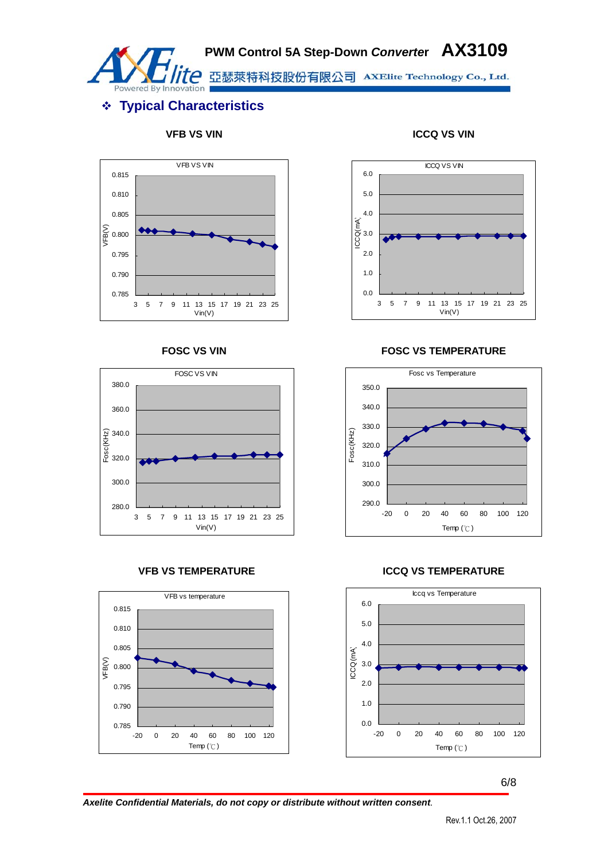

# **PWM Control 5A Step-Down** *Converte***r AX3109**

亞瑟萊特科技股份有限公司 AXElite Technology Co., Ltd.

# **Typical Characteristics**











#### **FOSC VS VIN FOSC VS TEMPERATURE**



#### **VFB VS TEMPERATURE ICCQ VS TEMPERATURE**



6/8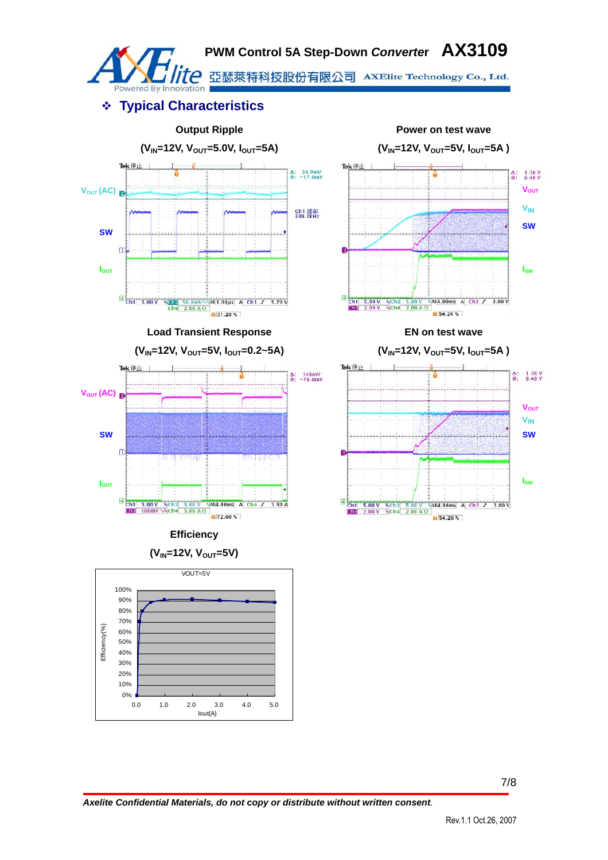

# **Typical Characteristics**